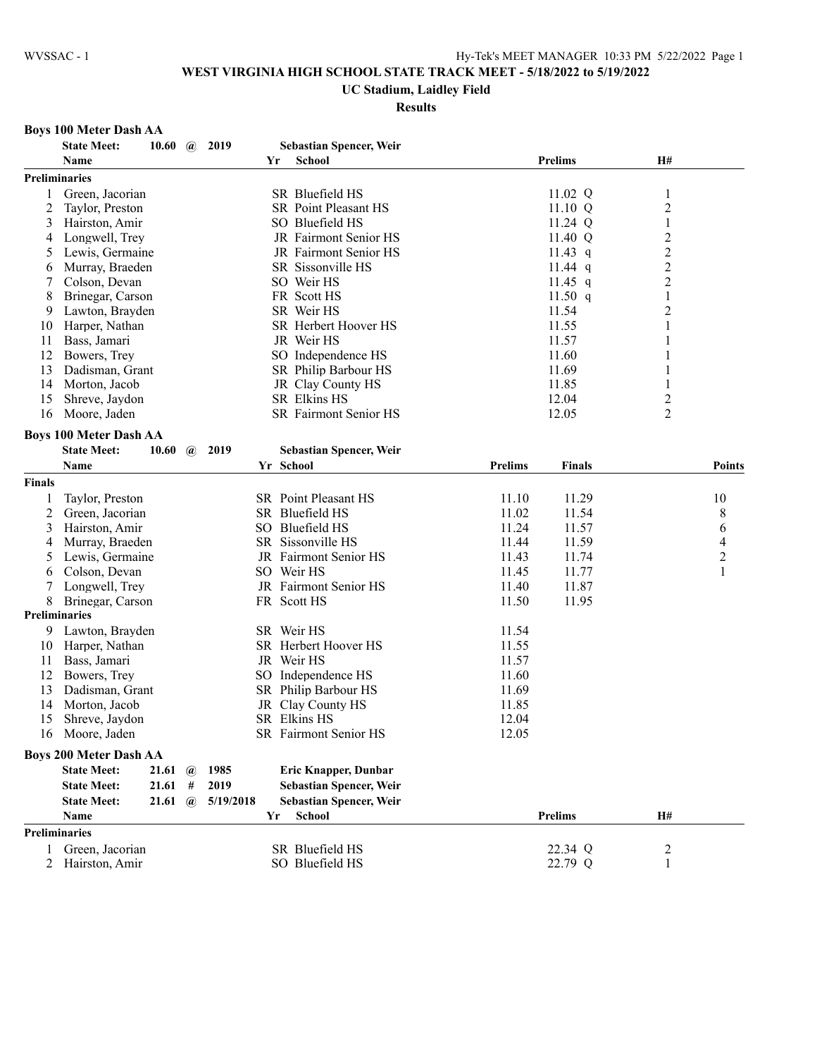#### **UC Stadium, Laidley Field**

#### **Results**

# **Boys 100 Meter Dash AA**

|               | <b>State Meet:</b>                                  | 10.60 | $\omega$     | 2019      | <b>Sebastian Spencer, Weir</b>              |                |                |                         |                          |
|---------------|-----------------------------------------------------|-------|--------------|-----------|---------------------------------------------|----------------|----------------|-------------------------|--------------------------|
|               | Name                                                |       |              |           | <b>School</b><br>Yr                         |                | <b>Prelims</b> | <b>H#</b>               |                          |
|               | <b>Preliminaries</b>                                |       |              |           |                                             |                |                |                         |                          |
| 1             | Green, Jacorian                                     |       |              |           | SR Bluefield HS                             |                | 11.02 Q        | 1                       |                          |
| 2             | Taylor, Preston                                     |       |              |           | <b>SR</b> Point Pleasant HS                 |                | $11.10 \ Q$    | $\overline{\mathbf{c}}$ |                          |
| 3             | Hairston, Amir                                      |       |              |           | SO Bluefield HS                             |                | 11.24 Q        | 1                       |                          |
| 4             | Longwell, Trey                                      |       |              |           | JR Fairmont Senior HS                       |                | 11.40 Q        | $\overline{c}$          |                          |
| 5             | Lewis, Germaine                                     |       |              |           | JR Fairmont Senior HS                       |                | 11.43 $q$      | $\overline{c}$          |                          |
| 6             | Murray, Braeden                                     |       |              |           | SR Sissonville HS                           |                | 11.44 $q$      | $\overline{\mathbf{c}}$ |                          |
| 7             | Colson, Devan                                       |       |              |           | SO Weir HS                                  |                | 11.45 $q$      | $\overline{c}$          |                          |
| 8             | Brinegar, Carson                                    |       |              |           | FR Scott HS                                 |                | 11.50 $q$      | 1                       |                          |
| 9             | Lawton, Brayden                                     |       |              |           | SR Weir HS                                  |                | 11.54          | $\overline{c}$          |                          |
| 10            | Harper, Nathan                                      |       |              |           | SR Herbert Hoover HS                        |                | 11.55          | 1                       |                          |
| 11            | Bass, Jamari                                        |       |              |           | JR Weir HS                                  |                | 11.57          | 1                       |                          |
| 12            | Bowers, Trey                                        |       |              |           | SO Independence HS                          |                | 11.60          | 1                       |                          |
| 13            | Dadisman, Grant                                     |       |              |           | SR Philip Barbour HS                        |                | 11.69          |                         |                          |
| 14            | Morton, Jacob                                       |       |              |           | JR Clay County HS                           |                | 11.85          | 1                       |                          |
| 15            | Shreve, Jaydon                                      |       |              |           | SR Elkins HS                                |                | 12.04          | 2                       |                          |
| 16            | Moore, Jaden                                        |       |              |           | SR Fairmont Senior HS                       |                | 12.05          | $\overline{2}$          |                          |
|               |                                                     |       |              |           |                                             |                |                |                         |                          |
|               | <b>Boys 100 Meter Dash AA</b><br><b>State Meet:</b> |       |              | 2019      |                                             |                |                |                         |                          |
|               | Name                                                | 10.60 | $\omega$     |           | <b>Sebastian Spencer, Weir</b><br>Yr School | <b>Prelims</b> | <b>Finals</b>  |                         |                          |
|               |                                                     |       |              |           |                                             |                |                |                         | <b>Points</b>            |
| <b>Finals</b> |                                                     |       |              |           |                                             |                |                |                         |                          |
| 1             | Taylor, Preston                                     |       |              |           | SR Point Pleasant HS                        | 11.10          | 11.29          |                         | 10                       |
| 2             | Green, Jacorian                                     |       |              |           | SR Bluefield HS                             | 11.02          | 11.54          |                         | 8                        |
| 3             | Hairston, Amir                                      |       |              |           | SO Bluefield HS                             | 11.24          | 11.57          |                         | 6                        |
| 4             | Murray, Braeden                                     |       |              |           | SR Sissonville HS                           | 11.44          | 11.59          |                         | $\overline{\mathcal{L}}$ |
| 5             | Lewis, Germaine                                     |       |              |           | JR Fairmont Senior HS                       | 11.43          | 11.74          |                         | $\overline{c}$           |
| 6             | Colson, Devan                                       |       |              |           | SO Weir HS                                  | 11.45          | 11.77          |                         | $\mathbf{1}$             |
| 7             | Longwell, Trey                                      |       |              |           | JR Fairmont Senior HS                       | 11.40          | 11.87          |                         |                          |
| 8             | Brinegar, Carson                                    |       |              |           | FR Scott HS                                 | 11.50          | 11.95          |                         |                          |
|               | <b>Preliminaries</b>                                |       |              |           |                                             |                |                |                         |                          |
| 9             | Lawton, Brayden                                     |       |              |           | SR Weir HS                                  | 11.54          |                |                         |                          |
| 10            | Harper, Nathan                                      |       |              |           | SR Herbert Hoover HS                        | 11.55          |                |                         |                          |
| 11            | Bass, Jamari                                        |       |              |           | JR Weir HS                                  | 11.57          |                |                         |                          |
| 12            | Bowers, Trey                                        |       |              |           | SO Independence HS                          | 11.60          |                |                         |                          |
| 13            | Dadisman, Grant                                     |       |              |           | SR Philip Barbour HS                        | 11.69          |                |                         |                          |
| 14            | Morton, Jacob                                       |       |              |           | JR Clay County HS                           | 11.85          |                |                         |                          |
| 15            | Shreve, Jaydon                                      |       |              |           | SR Elkins HS                                | 12.04          |                |                         |                          |
| 16            | Moore, Jaden                                        |       |              |           | SR Fairmont Senior HS                       | 12.05          |                |                         |                          |
|               | <b>Boys 200 Meter Dash AA</b>                       |       |              |           |                                             |                |                |                         |                          |
|               | <b>State Meet:</b>                                  | 21.61 | $\mathbf{a}$ | 1985      | <b>Eric Knapper, Dunbar</b>                 |                |                |                         |                          |
|               | <b>State Meet:</b>                                  | 21.61 | #            | 2019      | Sebastian Spencer, Weir                     |                |                |                         |                          |
|               | <b>State Meet:</b>                                  | 21.61 | $\omega$     | 5/19/2018 | <b>Sebastian Spencer, Weir</b>              |                |                |                         |                          |
|               | Name                                                |       |              |           | <b>School</b><br>Yr                         |                | <b>Prelims</b> | <b>H#</b>               |                          |
|               | <b>Preliminaries</b>                                |       |              |           |                                             |                |                |                         |                          |
|               |                                                     |       |              |           |                                             |                |                |                         |                          |
| $\mathbf{1}$  | Green, Jacorian                                     |       |              |           | SR Bluefield HS                             |                | 22.34 Q        | 2                       |                          |
| 2             | Hairston, Amir                                      |       |              |           | SO Bluefield HS                             |                | 22.79 Q        | 1                       |                          |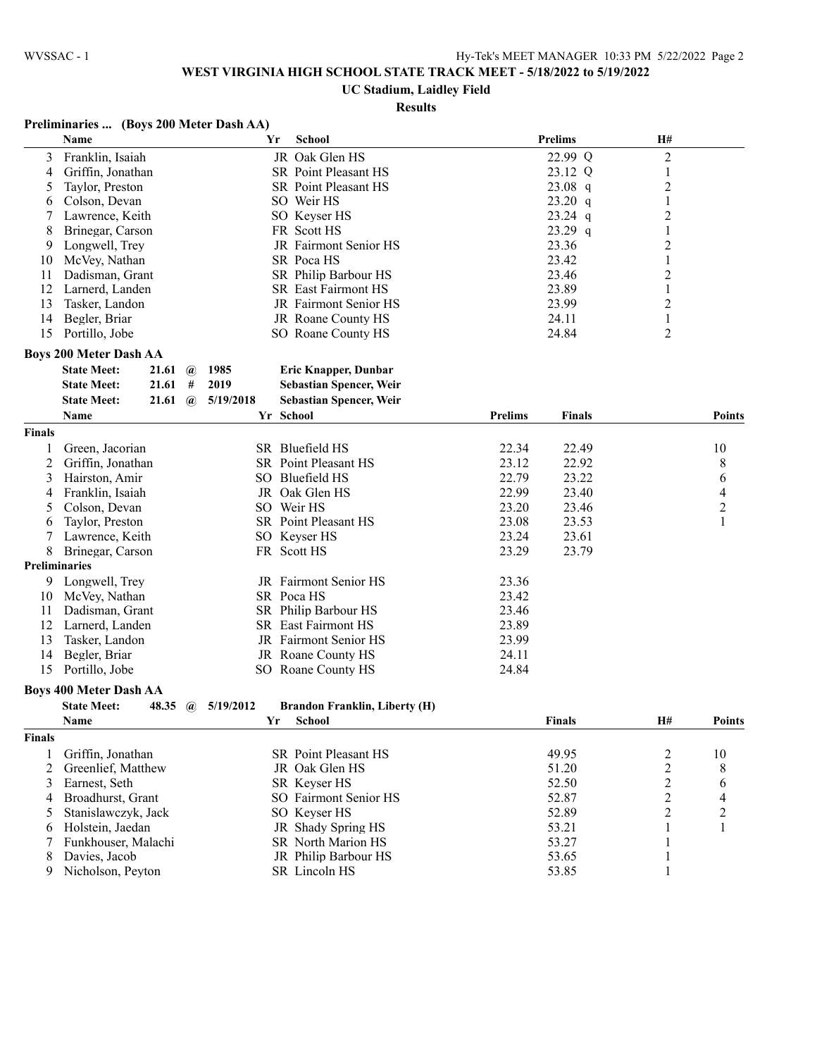### **UC Stadium, Laidley Field**

#### **Results**

### **Preliminaries ... (Boys 200 Meter Dash AA)**

|                | Name                                        | Yr<br><b>School</b>                               |                | <b>Prelims</b> | H#                      |                |
|----------------|---------------------------------------------|---------------------------------------------------|----------------|----------------|-------------------------|----------------|
| 3              | Franklin, Isaiah                            | JR Oak Glen HS                                    |                | 22.99 Q        | $\overline{c}$          |                |
| 4              | Griffin, Jonathan                           | SR Point Pleasant HS                              |                | 23.12 Q        | $\mathbf{1}$            |                |
| 5              | Taylor, Preston                             | SR Point Pleasant HS                              |                | $23.08$ q      | 2                       |                |
| 6              | Colson, Devan                               | SO Weir HS                                        |                | 23.20 q        | 1                       |                |
| 7              | Lawrence, Keith                             | SO Keyser HS                                      |                | $23.24$ q      | 2                       |                |
| 8              | Brinegar, Carson                            | FR Scott HS                                       |                | $23.29$ q      | 1                       |                |
| 9              | Longwell, Trey                              | JR Fairmont Senior HS                             |                | 23.36          | 2                       |                |
| 10             | McVey, Nathan                               | SR Poca HS                                        |                | 23.42          | 1                       |                |
| 11             | Dadisman, Grant                             | SR Philip Barbour HS                              |                | 23.46          | $\overline{c}$          |                |
| 12             | Larnerd, Landen                             | <b>SR</b> East Fairmont HS                        |                | 23.89          | $\mathbf{1}$            |                |
| 13             | Tasker, Landon                              | JR Fairmont Senior HS                             |                | 23.99          | $\overline{c}$          |                |
| 14             | Begler, Briar                               | JR Roane County HS                                |                | 24.11          | $\mathbf{1}$            |                |
| 15             | Portillo, Jobe                              | SO Roane County HS                                |                | 24.84          | $\overline{c}$          |                |
|                | <b>Boys 200 Meter Dash AA</b>               |                                                   |                |                |                         |                |
|                | <b>State Meet:</b><br>21.61 $\omega$        | 1985<br>Eric Knapper, Dunbar                      |                |                |                         |                |
|                | 21.61<br>#<br><b>State Meet:</b>            | 2019<br><b>Sebastian Spencer, Weir</b>            |                |                |                         |                |
|                | <b>State Meet:</b><br>21.61<br>$\mathbf{a}$ | 5/19/2018<br><b>Sebastian Spencer, Weir</b>       |                |                |                         |                |
|                | Name                                        | Yr School                                         | <b>Prelims</b> | Finals         |                         | <b>Points</b>  |
| Finals         |                                             |                                                   |                |                |                         |                |
| 1              | Green, Jacorian                             | SR Bluefield HS                                   | 22.34          | 22.49          |                         | 10             |
| 2              | Griffin, Jonathan                           | SR Point Pleasant HS                              | 23.12          | 22.92          |                         | 8              |
| 3              | Hairston, Amir                              | SO Bluefield HS                                   | 22.79          | 23.22          |                         | 6              |
| 4              | Franklin, Isaiah                            | JR Oak Glen HS                                    | 22.99          | 23.40          |                         | $\overline{4}$ |
| 5              | Colson, Devan                               | SO Weir HS                                        | 23.20          | 23.46          |                         | $\overline{c}$ |
| 6              | Taylor, Preston                             | SR Point Pleasant HS                              | 23.08          | 23.53          |                         | 1              |
| 7              | Lawrence, Keith                             | SO Keyser HS                                      | 23.24          | 23.61          |                         |                |
| 8              | Brinegar, Carson                            | FR Scott HS                                       | 23.29          | 23.79          |                         |                |
|                | <b>Preliminaries</b>                        |                                                   |                |                |                         |                |
| 9              | Longwell, Trey                              | JR Fairmont Senior HS                             | 23.36          |                |                         |                |
| 10             | McVey, Nathan                               | SR Poca HS                                        | 23.42          |                |                         |                |
| 11             | Dadisman, Grant                             | SR Philip Barbour HS                              | 23.46          |                |                         |                |
| 12             | Larnerd, Landen                             | SR East Fairmont HS                               | 23.89          |                |                         |                |
| 13             | Tasker, Landon                              | JR Fairmont Senior HS                             | 23.99          |                |                         |                |
| 14             | Begler, Briar                               | JR Roane County HS                                | 24.11          |                |                         |                |
| 15             | Portillo, Jobe                              | SO Roane County HS                                | 24.84          |                |                         |                |
|                | <b>Boys 400 Meter Dash AA</b>               |                                                   |                |                |                         |                |
|                | <b>State Meet:</b><br>48.35<br>$\omega$     | 5/19/2012<br><b>Brandon Franklin, Liberty (H)</b> |                |                |                         |                |
|                | <b>Name</b>                                 | Yr<br>School                                      |                | <b>Finals</b>  | H#                      | <b>Points</b>  |
| Finals         |                                             |                                                   |                |                |                         |                |
| 1              | Griffin, Jonathan                           | SR Point Pleasant HS                              |                | 49.95          | $\overline{\mathbf{c}}$ | 10             |
| $\overline{c}$ | Greenlief, Matthew                          | JR Oak Glen HS                                    |                | 51.20          | $\overline{c}$          | 8              |
| 3              | Earnest, Seth                               | SR Keyser HS                                      |                | 52.50          | $\overline{c}$          | 6              |
| 4              | Broadhurst, Grant                           | SO Fairmont Senior HS                             |                | 52.87          | $\overline{c}$          | 4              |
| 5              | Stanislawczyk, Jack                         | SO Keyser HS                                      |                | 52.89          | $\overline{c}$          | $\overline{c}$ |
| 6              | Holstein, Jaedan                            | JR Shady Spring HS                                |                | 53.21          | $\mathbf{1}$            | 1              |
| 7              | Funkhouser, Malachi                         | SR North Marion HS                                |                | 53.27          | 1                       |                |
|                |                                             |                                                   |                |                |                         |                |

8 Davies, Jacob JR Philip Barbour HS 53.65 1 9 Nicholson, Peyton SR Lincoln HS 53.85 1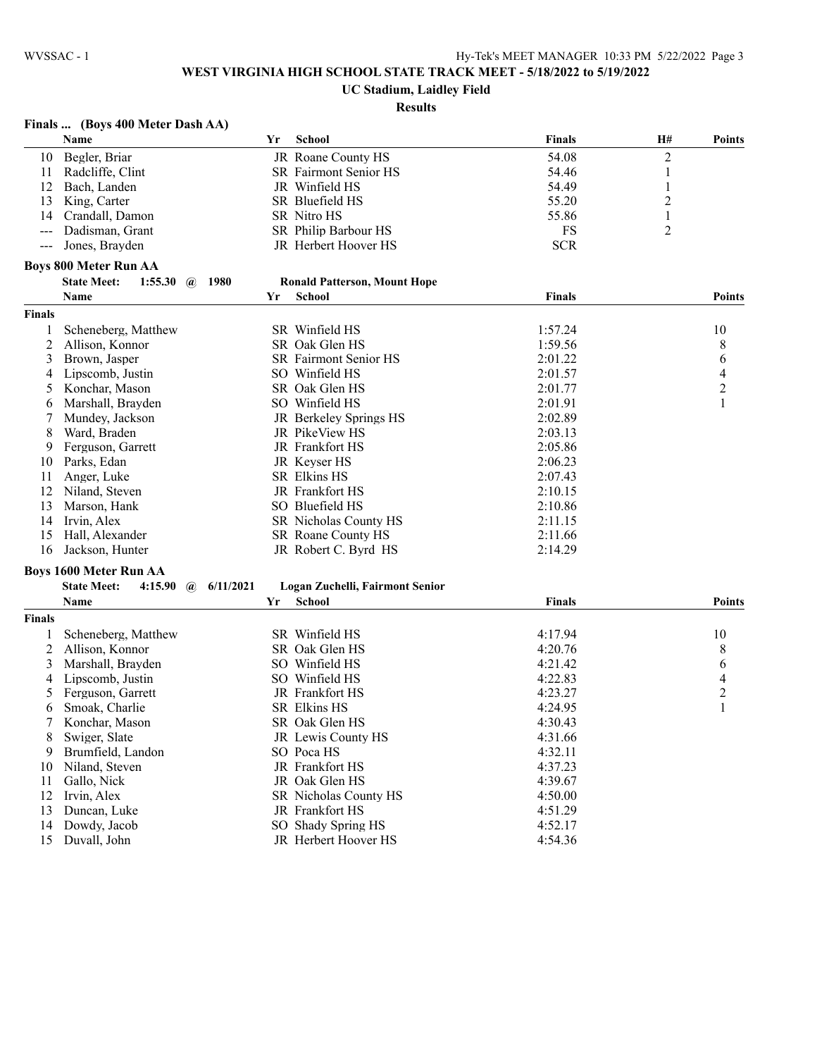### **UC Stadium, Laidley Field**

#### **Results**

### **Finals ... (Boys 400 Meter Dash AA)**

|                | <b>Name</b>                   |                           | Yr | School                              | <b>Finals</b> | H#                      | <b>Points</b>  |
|----------------|-------------------------------|---------------------------|----|-------------------------------------|---------------|-------------------------|----------------|
| 10             | Begler, Briar                 |                           |    | JR Roane County HS                  | 54.08         | $\overline{c}$          |                |
| 11             | Radcliffe, Clint              |                           |    | SR Fairmont Senior HS               | 54.46         | 1                       |                |
| 12             | Bach, Landen                  |                           |    | JR Winfield HS                      | 54.49         | $\mathbf{1}$            |                |
| 13             | King, Carter                  |                           |    | SR Bluefield HS                     | 55.20         | $\overline{\mathbf{c}}$ |                |
| 14             | Crandall, Damon               |                           |    | SR Nitro HS                         | 55.86         | 1                       |                |
| $\sim$ $\sim$  | Dadisman, Grant               |                           |    | SR Philip Barbour HS                | FS            | 2                       |                |
| $--$           | Jones, Brayden                |                           |    | JR Herbert Hoover HS                | <b>SCR</b>    |                         |                |
|                | <b>Boys 800 Meter Run AA</b>  |                           |    |                                     |               |                         |                |
|                | <b>State Meet:</b><br>1:55.30 | 1980<br>$\mathbf{a}$      |    | <b>Ronald Patterson, Mount Hope</b> |               |                         |                |
|                | Name                          |                           | Yr | School                              | <b>Finals</b> |                         | <b>Points</b>  |
| Finals         |                               |                           |    |                                     |               |                         |                |
| 1              | Scheneberg, Matthew           |                           |    | SR Winfield HS                      | 1:57.24       |                         | 10             |
| $\overline{c}$ | Allison, Konnor               |                           |    | SR Oak Glen HS                      | 1:59.56       |                         | 8              |
| 3              | Brown, Jasper                 |                           |    | SR Fairmont Senior HS               | 2:01.22       |                         | 6              |
| 4              | Lipscomb, Justin              |                           |    | SO Winfield HS                      | 2:01.57       |                         | $\overline{4}$ |
| 5              | Konchar, Mason                |                           |    | SR Oak Glen HS                      | 2:01.77       |                         | $\overline{2}$ |
| 6              | Marshall, Brayden             |                           |    | SO Winfield HS                      | 2:01.91       |                         | $\mathbf{1}$   |
| 7              | Mundey, Jackson               |                           |    | JR Berkeley Springs HS              | 2:02.89       |                         |                |
| 8              | Ward, Braden                  |                           |    | JR PikeView HS                      | 2:03.13       |                         |                |
| 9              | Ferguson, Garrett             |                           |    | JR Frankfort HS                     | 2:05.86       |                         |                |
| 10             | Parks, Edan                   |                           |    | JR Keyser HS                        | 2:06.23       |                         |                |
| 11             | Anger, Luke                   |                           |    | SR Elkins HS                        | 2:07.43       |                         |                |
| 12             | Niland, Steven                |                           |    | JR Frankfort HS                     | 2:10.15       |                         |                |
|                |                               |                           |    | SO Bluefield HS                     | 2:10.86       |                         |                |
| 13             | Marson, Hank                  |                           |    |                                     |               |                         |                |
| 14             | Irvin, Alex                   |                           |    | SR Nicholas County HS               | 2:11.15       |                         |                |
| 15             | Hall, Alexander               |                           |    | SR Roane County HS                  | 2:11.66       |                         |                |
| 16             | Jackson, Hunter               |                           |    | JR Robert C. Byrd HS                | 2:14.29       |                         |                |
|                | Boys 1600 Meter Run AA        |                           |    |                                     |               |                         |                |
|                | <b>State Meet:</b><br>4:15.90 | 6/11/2021<br>$\mathbf{a}$ |    | Logan Zuchelli, Fairmont Senior     |               |                         |                |
|                | Name                          |                           | Yr | School                              | <b>Finals</b> |                         | <b>Points</b>  |
| Finals         |                               |                           |    |                                     |               |                         |                |
| 1              | Scheneberg, Matthew           |                           |    | SR Winfield HS                      | 4:17.94       |                         | 10             |
| 2              | Allison, Konnor               |                           |    | SR Oak Glen HS                      | 4:20.76       |                         | 8              |
| 3              | Marshall, Brayden             |                           |    | SO Winfield HS                      | 4:21.42       |                         | 6              |
| 4              | Lipscomb, Justin              |                           |    | SO Winfield HS                      | 4:22.83       |                         | $\overline{4}$ |
| 5              | Ferguson, Garrett             |                           |    | JR Frankfort HS                     | 4:23.27       |                         | $\overline{2}$ |
| 6              | Smoak, Charlie                |                           |    | SR Elkins HS                        | 4:24.95       |                         | $\mathbf{1}$   |
| 7              | Konchar, Mason                |                           |    | SR Oak Glen HS                      | 4:30.43       |                         |                |
| 8              | Swiger, Slate                 |                           |    | JR Lewis County HS                  | 4:31.66       |                         |                |
| 9              | Brumfield, Landon             |                           |    | SO Poca HS                          | 4:32.11       |                         |                |
| 10             | Niland, Steven                |                           |    | JR Frankfort HS                     | 4:37.23       |                         |                |
| 11             | Gallo, Nick                   |                           |    | JR Oak Glen HS                      | 4:39.67       |                         |                |
| 12             | Irvin, Alex                   |                           |    | SR Nicholas County HS               | 4:50.00       |                         |                |
| 13             | Duncan, Luke                  |                           |    | JR Frankfort HS                     | 4:51.29       |                         |                |
| 14             | Dowdy, Jacob                  |                           |    | SO Shady Spring HS                  | 4:52.17       |                         |                |
| 15             | Duvall, John                  |                           |    | JR Herbert Hoover HS                | 4:54.36       |                         |                |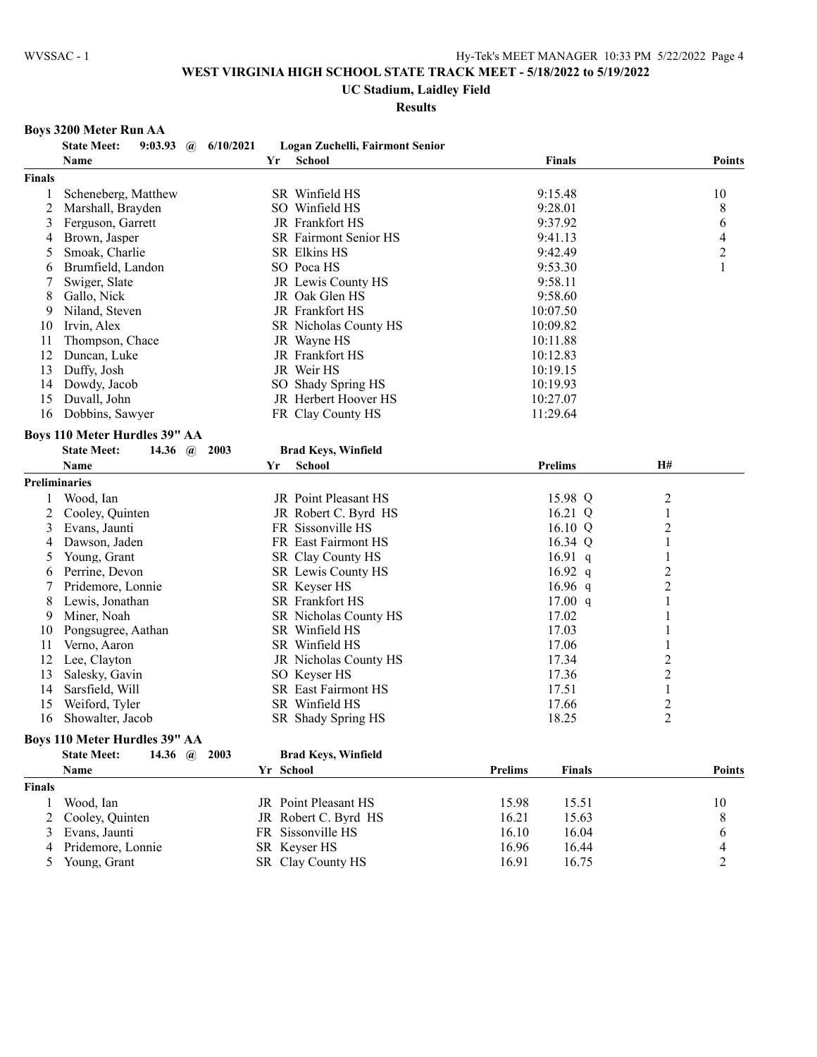### **UC Stadium, Laidley Field**

**Results**

### **Boys 3200 Meter Run AA**

|               | <b>State Meet:</b><br>9:03.93 @ $6/10/2021$  | Logan Zuchelli, Fairmont Senior |                                 |                         |
|---------------|----------------------------------------------|---------------------------------|---------------------------------|-------------------------|
|               | Name                                         | <b>School</b><br>Yr             | Finals                          | <b>Points</b>           |
| <b>Finals</b> |                                              |                                 |                                 |                         |
| 1             | Scheneberg, Matthew                          | SR Winfield HS                  | 9:15.48                         | 10                      |
| 2             | Marshall, Brayden                            | SO Winfield HS                  | 9:28.01                         | 8                       |
| 3             | Ferguson, Garrett                            | JR Frankfort HS                 | 9:37.92                         | 6                       |
| 4             | Brown, Jasper                                | SR Fairmont Senior HS           | 9:41.13                         | $\overline{4}$          |
| 5             | Smoak, Charlie                               | SR Elkins HS                    | 9:42.49                         | $\overline{2}$          |
| 6             | Brumfield, Landon                            | SO Poca HS                      | 9:53.30                         | $\mathbf{1}$            |
| 7             | Swiger, Slate                                | JR Lewis County HS              | 9:58.11                         |                         |
| 8             | Gallo, Nick                                  | JR Oak Glen HS                  | 9:58.60                         |                         |
| 9             | Niland, Steven                               | JR Frankfort HS                 | 10:07.50                        |                         |
| 10            | Irvin, Alex                                  | SR Nicholas County HS           | 10:09.82                        |                         |
| 11            | Thompson, Chace                              | JR Wayne HS                     | 10:11.88                        |                         |
| 12            | Duncan, Luke                                 | JR Frankfort HS                 | 10:12.83                        |                         |
| 13            | Duffy, Josh                                  | JR Weir HS                      | 10:19.15                        |                         |
| 14            | Dowdy, Jacob                                 | SO Shady Spring HS              | 10:19.93                        |                         |
| 15            | Duvall, John                                 | JR Herbert Hoover HS            | 10:27.07                        |                         |
| 16            | Dobbins, Sawyer                              | FR Clay County HS               | 11:29.64                        |                         |
|               |                                              |                                 |                                 |                         |
|               | <b>Boys 110 Meter Hurdles 39" AA</b>         |                                 |                                 |                         |
|               | <b>State Meet:</b><br>14.36 $\omega$<br>2003 | <b>Brad Keys, Winfield</b>      |                                 |                         |
|               | <b>Name</b>                                  | <b>School</b><br>Yr             | <b>Prelims</b>                  | H#                      |
|               | Preliminaries                                |                                 |                                 |                         |
| 1             | Wood, Ian                                    | JR Point Pleasant HS            | 15.98 Q                         | $\overline{c}$          |
| 2             | Cooley, Quinten                              | JR Robert C. Byrd HS            | 16.21 Q                         | 1                       |
| 3             | Evans, Jaunti                                | FR Sissonville HS               | 16.10 $Q$                       | 2                       |
| 4             | Dawson, Jaden                                | FR East Fairmont HS             | 16.34 Q                         | 1                       |
| 5             | Young, Grant                                 | SR Clay County HS               | $16.91\ q$                      | $\mathbf{1}$            |
| 6             | Perrine, Devon                               | SR Lewis County HS              | 16.92 $q$                       | $\overline{\mathbf{c}}$ |
| 7             | Pridemore, Lonnie                            | SR Keyser HS                    | 16.96 $q$                       | $\overline{c}$          |
| 8             | Lewis, Jonathan                              | <b>SR</b> Frankfort HS          | 17.00 q                         | 1                       |
| 9             | Miner, Noah                                  | SR Nicholas County HS           | 17.02                           | 1                       |
| 10            | Pongsugree, Aathan                           | SR Winfield HS                  | 17.03                           | 1                       |
| 11            | Verno, Aaron                                 | SR Winfield HS                  | 17.06                           | 1                       |
| 12            | Lee, Clayton                                 | JR Nicholas County HS           | 17.34                           | $\overline{\mathbf{c}}$ |
| 13            | Salesky, Gavin                               | SO Keyser HS                    | 17.36                           | $\overline{c}$          |
| 14            | Sarsfield, Will                              | SR East Fairmont HS             | 17.51                           | 1                       |
| 15            | Weiford, Tyler                               | SR Winfield HS                  | 17.66                           | $\overline{\mathbf{c}}$ |
| 16            | Showalter, Jacob                             | SR Shady Spring HS              | 18.25                           | $\overline{2}$          |
|               | <b>Boys 110 Meter Hurdles 39" AA</b>         |                                 |                                 |                         |
|               | <b>State Meet:</b><br>14.36 @ 2003           | <b>Brad Keys, Winfield</b>      |                                 |                         |
|               | Name                                         | Yr School                       | <b>Prelims</b><br><b>Finals</b> | <b>Points</b>           |
|               |                                              |                                 |                                 |                         |
| <b>Finals</b> |                                              |                                 |                                 |                         |
| 1             | Wood, Ian                                    | JR Point Pleasant HS            | 15.98<br>15.51                  | 10                      |
| 2             | Cooley, Quinten                              | JR Robert C. Byrd HS            | 16.21<br>15.63                  | 8                       |
| 3             | Evans, Jaunti                                | FR Sissonville HS               | 16.10<br>16.04                  | 6                       |
|               | Pridemore, Lonnie                            | SR Keyser HS                    | 16.96<br>16.44                  | 4                       |

4 Pridemore, Lonnie SR Keyser HS 16.96 16.44 4<br>5 Young, Grant SR Clay County HS 16.91 16.75 2

SR Clay County HS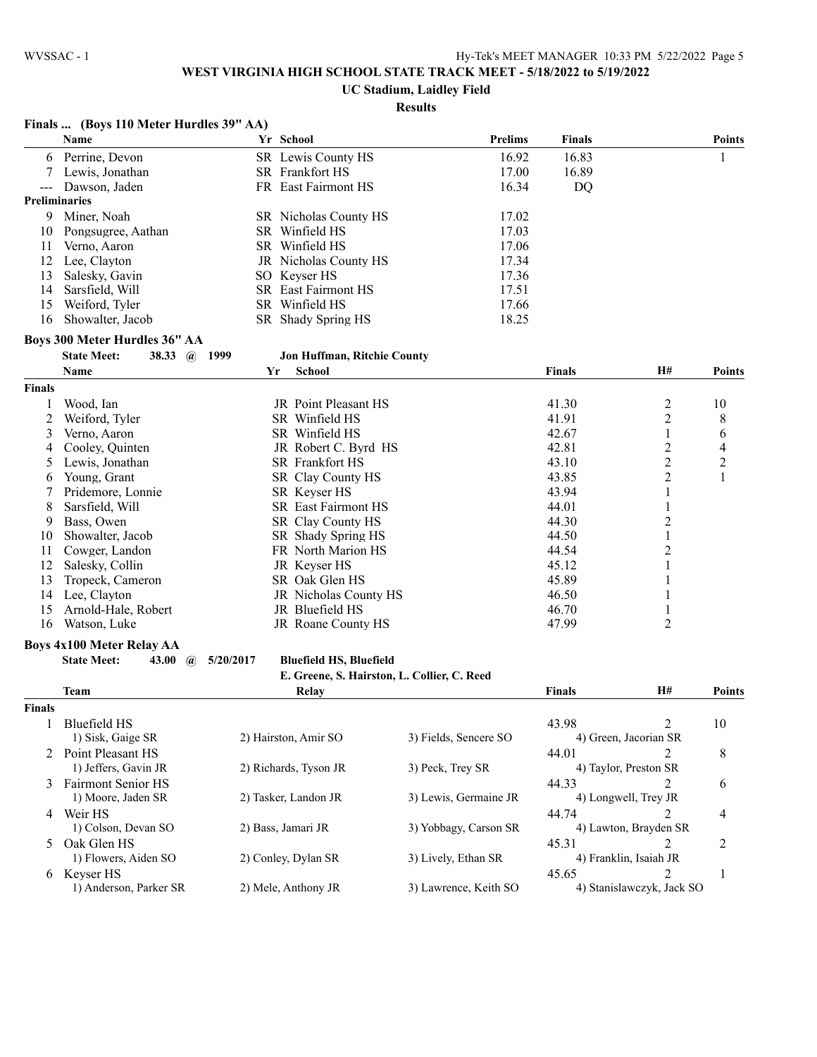**Finals ... (Boys 110 Meter Hurdles 39" AA)**

## **WEST VIRGINIA HIGH SCHOOL STATE TRACK MEET - 5/18/2022 to 5/19/2022**

**UC Stadium, Laidley Field**

### **Results**

|                | Name                                                                            |           | Yr School                      |                                             | Prelims | <b>Finals</b> |                           | <b>Points</b> |
|----------------|---------------------------------------------------------------------------------|-----------|--------------------------------|---------------------------------------------|---------|---------------|---------------------------|---------------|
|                | 6 Perrine, Devon                                                                |           | SR Lewis County HS             |                                             | 16.92   | 16.83         |                           | 1             |
| 7              | Lewis, Jonathan                                                                 |           | SR Frankfort HS                |                                             | 17.00   | 16.89         |                           |               |
| $---$          | Dawson, Jaden                                                                   |           | FR East Fairmont HS            |                                             | 16.34   | <b>DQ</b>     |                           |               |
|                | <b>Preliminaries</b>                                                            |           |                                |                                             |         |               |                           |               |
| 9              | Miner, Noah                                                                     |           | SR Nicholas County HS          |                                             | 17.02   |               |                           |               |
| 10             | Pongsugree, Aathan                                                              |           | SR Winfield HS                 |                                             | 17.03   |               |                           |               |
| 11             | Verno, Aaron                                                                    |           | SR Winfield HS                 |                                             | 17.06   |               |                           |               |
| 12             | Lee, Clayton                                                                    |           | JR Nicholas County HS          |                                             | 17.34   |               |                           |               |
| 13             | Salesky, Gavin                                                                  |           | SO Keyser HS                   |                                             | 17.36   |               |                           |               |
| 14             | Sarsfield, Will                                                                 |           | SR East Fairmont HS            |                                             | 17.51   |               |                           |               |
| 15             | Weiford, Tyler                                                                  |           | SR Winfield HS                 |                                             | 17.66   |               |                           |               |
| 16             | Showalter, Jacob                                                                |           | SR Shady Spring HS             |                                             | 18.25   |               |                           |               |
|                | Boys 300 Meter Hurdles 36" AA                                                   |           |                                |                                             |         |               |                           |               |
|                | <b>State Meet:</b><br>38.33 $\omega$                                            | 1999      | Jon Huffman, Ritchie County    |                                             |         |               |                           |               |
|                | Name                                                                            | Yr        | <b>School</b>                  |                                             |         | <b>Finals</b> | H#                        | <b>Points</b> |
| <b>Finals</b>  |                                                                                 |           |                                |                                             |         |               |                           |               |
|                | Wood, Ian                                                                       |           | JR Point Pleasant HS           |                                             |         | 41.30         | 2                         | 10            |
| 2              | Weiford, Tyler                                                                  |           | SR Winfield HS                 |                                             |         | 41.91         | $\overline{c}$            | 8             |
| 3              | Verno, Aaron                                                                    |           | SR Winfield HS                 |                                             |         | 42.67         | 1                         | 6             |
| 4              | Cooley, Quinten                                                                 |           | JR Robert C. Byrd HS           |                                             |         | 42.81         | $\overline{2}$            | 4             |
| 5              | Lewis, Jonathan                                                                 |           | SR Frankfort HS                |                                             |         | 43.10         | $\overline{2}$            | 2             |
| 6              | Young, Grant                                                                    |           | SR Clay County HS              |                                             |         | 43.85         | $\overline{2}$            | 1             |
| 7              | Pridemore, Lonnie                                                               |           | SR Keyser HS                   |                                             |         | 43.94         | 1                         |               |
| 8              | Sarsfield, Will                                                                 |           | <b>SR</b> East Fairmont HS     |                                             |         | 44.01         | 1                         |               |
| 9              | Bass, Owen                                                                      |           | SR Clay County HS              |                                             |         | 44.30         | $\overline{c}$            |               |
| 10             | Showalter, Jacob                                                                |           | SR Shady Spring HS             |                                             |         | 44.50         | $\mathbf{1}$              |               |
| 11             | Cowger, Landon                                                                  |           | FR North Marion HS             |                                             |         | 44.54         | $\overline{2}$            |               |
| 12             | Salesky, Collin                                                                 |           | JR Keyser HS                   |                                             |         | 45.12         | $\mathbf{1}$              |               |
| 13             | Tropeck, Cameron                                                                |           | SR Oak Glen HS                 |                                             |         | 45.89         | 1                         |               |
| 14             | Lee, Clayton                                                                    |           | JR Nicholas County HS          |                                             |         | 46.50         |                           |               |
| 15             | Arnold-Hale, Robert                                                             |           | JR Bluefield HS                |                                             |         | 46.70         | 1                         |               |
| 16             | Watson, Luke                                                                    |           | JR Roane County HS             |                                             |         | 47.99         | 2                         |               |
|                |                                                                                 |           |                                |                                             |         |               |                           |               |
|                | <b>Boys 4x100 Meter Relay AA</b><br><b>State Meet:</b><br>43.00<br>$\mathbf{a}$ | 5/20/2017 | <b>Bluefield HS, Bluefield</b> |                                             |         |               |                           |               |
|                |                                                                                 |           |                                | E. Greene, S. Hairston, L. Collier, C. Reed |         |               |                           |               |
|                | Team                                                                            |           | Relay                          |                                             |         | <b>Finals</b> | H#                        | <b>Points</b> |
| Finals         |                                                                                 |           |                                |                                             |         |               |                           |               |
| 1              | <b>Bluefield HS</b>                                                             |           |                                |                                             |         | 43.98         | 2                         | 10            |
|                | 1) Sisk, Gaige SR                                                               |           | 2) Hairston, Amir SO           | 3) Fields, Sencere SO                       |         |               | 4) Green, Jacorian SR     |               |
|                | 2 Point Pleasant HS                                                             |           |                                |                                             |         | 44.01         | 2                         | 8             |
|                | 1) Jeffers, Gavin JR                                                            |           | 2) Richards, Tyson JR          | 3) Peck, Trey SR                            |         |               | 4) Taylor, Preston SR     |               |
|                | 3 Fairmont Senior HS                                                            |           |                                |                                             |         | 44.33         | 2                         | 6             |
|                | 1) Moore, Jaden SR                                                              |           | 2) Tasker, Landon JR           | 3) Lewis, Germaine JR                       |         |               | 4) Longwell, Trey JR      |               |
| 4              | Weir HS                                                                         |           |                                |                                             |         | 44.74         | 2                         | 4             |
|                | 1) Colson, Devan SO                                                             |           | 2) Bass, Jamari JR             | 3) Yobbagy, Carson SR                       |         |               | 4) Lawton, Brayden SR     |               |
| $\mathfrak{L}$ | Oak Glen HS                                                                     |           |                                |                                             |         | 45.31         | 2                         | 2             |
|                | 1) Flowers, Aiden SO                                                            |           | 2) Conley, Dylan SR            | 3) Lively, Ethan SR                         |         |               | 4) Franklin, Isaiah JR    |               |
|                | 6 Keyser HS                                                                     |           |                                |                                             |         | 45.65         | $\mathcal{L}$             | 1             |
|                | 1) Anderson, Parker SR                                                          |           | 2) Mele, Anthony JR            | 3) Lawrence, Keith SO                       |         |               | 4) Stanislawczyk, Jack SO |               |
|                |                                                                                 |           |                                |                                             |         |               |                           |               |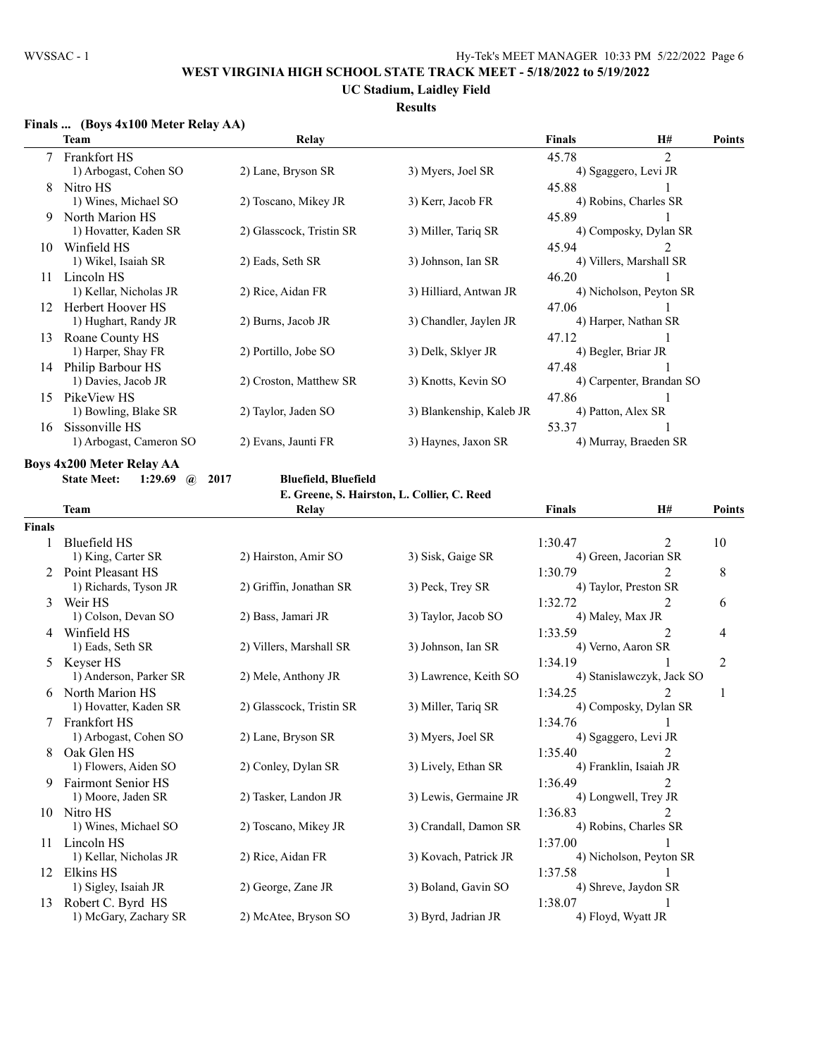### **UC Stadium, Laidley Field**

### **Results**

### **Finals ... (Boys 4x100 Meter Relay AA)**

| Team                    | Relay                    |                        | <b>Finals</b>                                   | <b>H#</b>                     | <b>Points</b>                                                                                                                                                                                                                                          |
|-------------------------|--------------------------|------------------------|-------------------------------------------------|-------------------------------|--------------------------------------------------------------------------------------------------------------------------------------------------------------------------------------------------------------------------------------------------------|
| 7 Frankfort HS          |                          |                        | 45.78                                           | $\overline{2}$                |                                                                                                                                                                                                                                                        |
| 1) Arbogast, Cohen SO   | 2) Lane, Bryson SR       | 3) Myers, Joel SR      |                                                 |                               |                                                                                                                                                                                                                                                        |
| Nitro HS                |                          |                        | 45.88                                           |                               |                                                                                                                                                                                                                                                        |
| 1) Wines, Michael SO    | 2) Toscano, Mikey JR     | 3) Kerr, Jacob FR      |                                                 |                               |                                                                                                                                                                                                                                                        |
| North Marion HS         |                          |                        | 45.89                                           |                               |                                                                                                                                                                                                                                                        |
| 1) Hovatter, Kaden SR   | 2) Glasscock, Tristin SR | 3) Miller, Tariq SR    |                                                 |                               |                                                                                                                                                                                                                                                        |
| Winfield HS             |                          |                        | 45.94                                           | $\mathfrak{D}_{\mathfrak{p}}$ |                                                                                                                                                                                                                                                        |
| 1) Wikel, Isaiah SR     | 2) Eads, Seth SR         | 3) Johnson, Ian SR     |                                                 |                               |                                                                                                                                                                                                                                                        |
| Lincoln HS              |                          |                        | 46.20                                           |                               |                                                                                                                                                                                                                                                        |
| 1) Kellar, Nicholas JR  | 2) Rice, Aidan FR        | 3) Hilliard, Antwan JR |                                                 |                               |                                                                                                                                                                                                                                                        |
| Herbert Hoover HS       |                          |                        | 47.06                                           |                               |                                                                                                                                                                                                                                                        |
| 1) Hughart, Randy JR    |                          | 3) Chandler, Jaylen JR |                                                 |                               |                                                                                                                                                                                                                                                        |
| Roane County HS         |                          |                        | 47.12                                           |                               |                                                                                                                                                                                                                                                        |
| 1) Harper, Shay FR      | 2) Portillo, Jobe SO     | 3) Delk, Sklyer JR     |                                                 |                               |                                                                                                                                                                                                                                                        |
| Philip Barbour HS       |                          |                        | 47.48                                           |                               |                                                                                                                                                                                                                                                        |
| 1) Davies, Jacob JR     | 2) Croston, Matthew SR   |                        |                                                 |                               |                                                                                                                                                                                                                                                        |
| PikeView HS             |                          |                        | 47.86                                           |                               |                                                                                                                                                                                                                                                        |
|                         | 2) Taylor, Jaden SO      |                        |                                                 |                               |                                                                                                                                                                                                                                                        |
| Sissonville HS          |                          |                        | 53.37                                           |                               |                                                                                                                                                                                                                                                        |
| 1) Arbogast, Cameron SO | 2) Evans, Jaunti FR      | 3) Haynes, Jaxon SR    |                                                 |                               |                                                                                                                                                                                                                                                        |
|                         | 1) Bowling, Blake SR     | 2) Burns, Jacob JR     | 3) Knotts, Kevin SO<br>3) Blankenship, Kaleb JR |                               | 4) Sgaggero, Levi JR<br>4) Robins, Charles SR<br>4) Composky, Dylan SR<br>4) Villers, Marshall SR<br>4) Nicholson, Peyton SR<br>4) Harper, Nathan SR<br>4) Begler, Briar JR<br>4) Carpenter, Brandan SO<br>4) Patton, Alex SR<br>4) Murray, Braeden SR |

**Boys 4x200 Meter Relay AA**

**State Meet: 1:29.69 @ 2017 Bluefield, Bluefield**

**E. Greene, S. Hairston, L. Collier, C. Reed**

|               | <b>Team</b>               | Relay                    |                       | <b>Finals</b>    | H#                          | Points         |
|---------------|---------------------------|--------------------------|-----------------------|------------------|-----------------------------|----------------|
| <b>Finals</b> |                           |                          |                       |                  |                             |                |
|               | Bluefield HS              |                          |                       | 1:30.47          | 2                           | 10             |
|               | 1) King, Carter SR        | 2) Hairston, Amir SO     | 3) Sisk, Gaige SR     |                  | 4) Green, Jacorian SR       |                |
|               | Point Pleasant HS         |                          |                       | 1:30.79          |                             | 8              |
|               | 1) Richards, Tyson JR     | 2) Griffin, Jonathan SR  | 3) Peck, Trey SR      |                  | 4) Taylor, Preston SR       |                |
| 3             | Weir HS                   |                          |                       | 1:32.72          | 2                           | 6              |
|               | 1) Colson, Devan SO       | 2) Bass, Jamari JR       | 3) Taylor, Jacob SO   | 4) Maley, Max JR |                             |                |
| 4             | Winfield HS               |                          |                       | 1:33.59          | $\mathfrak{D}$              | 4              |
|               | 1) Eads, Seth SR          | 2) Villers, Marshall SR  | 3) Johnson, Ian SR    |                  | 4) Verno, Aaron SR          |                |
| 5.            | Keyser HS                 |                          |                       | 1:34.19          |                             | $\overline{2}$ |
|               | 1) Anderson, Parker SR    | 2) Mele, Anthony JR      | 3) Lawrence, Keith SO |                  | 4) Stanislawczyk, Jack SO   |                |
|               | North Marion HS           |                          |                       | 1:34.25          |                             |                |
|               | 1) Hovatter, Kaden SR     | 2) Glasscock, Tristin SR | 3) Miller, Tariq SR   |                  | 4) Composky, Dylan SR       |                |
|               | <b>Frankfort HS</b>       |                          |                       | 1:34.76          |                             |                |
|               | 1) Arbogast, Cohen SO     | 2) Lane, Bryson SR       | 3) Myers, Joel SR     |                  | 4) Sgaggero, Levi JR        |                |
|               | Oak Glen HS               |                          |                       | 1:35.40          | $\mathfrak{D}$              |                |
|               | 1) Flowers, Aiden SO      | 2) Conley, Dylan SR      | 3) Lively, Ethan SR   |                  | 4) Franklin, Isaiah JR      |                |
| 9             | <b>Fairmont Senior HS</b> |                          |                       | 1:36.49          |                             |                |
|               | 1) Moore, Jaden SR        | 2) Tasker, Landon JR     | 3) Lewis, Germaine JR |                  | 4) Longwell, Trey JR        |                |
| 10            | Nitro HS                  |                          |                       | 1:36.83          | $\mathcal{D}_{\mathcal{L}}$ |                |
|               | 1) Wines, Michael SO      | 2) Toscano, Mikey JR     | 3) Crandall, Damon SR |                  | 4) Robins, Charles SR       |                |
| 11            | Lincoln HS                |                          |                       | 1:37.00          |                             |                |
|               | 1) Kellar, Nicholas JR    | 2) Rice, Aidan FR        | 3) Kovach, Patrick JR |                  | 4) Nicholson, Peyton SR     |                |
| 12            | Elkins HS                 |                          |                       | 1:37.58          |                             |                |
|               | 1) Sigley, Isaiah JR      | 2) George, Zane JR       | 3) Boland, Gavin SO   |                  | 4) Shreve, Jaydon SR        |                |
| 13            | Robert C. Byrd HS         |                          |                       | 1:38.07          |                             |                |
|               | 1) McGary, Zachary SR     | 2) McAtee, Bryson SO     | 3) Byrd, Jadrian JR   |                  | 4) Floyd, Wyatt JR          |                |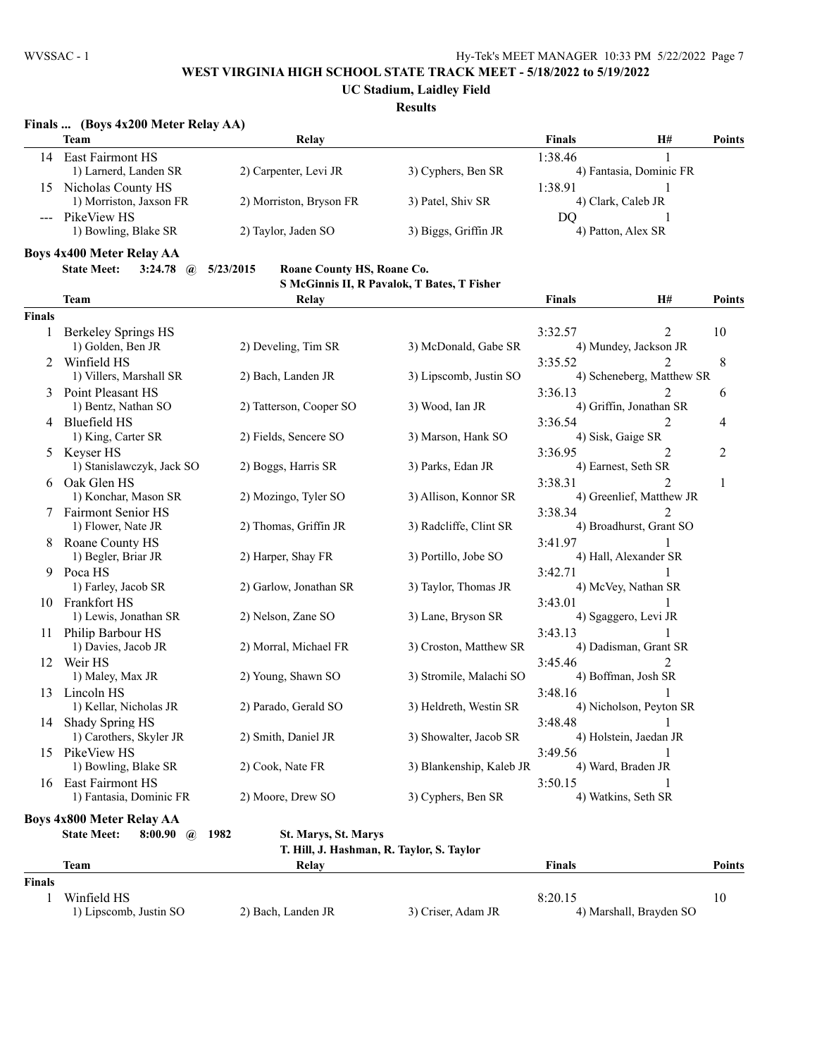**UC Stadium, Laidley Field**

#### **Results**

|               | Finals  (Boys 4x200 Meter Relay AA)                            |                                           |                                             |               |                                                            |               |
|---------------|----------------------------------------------------------------|-------------------------------------------|---------------------------------------------|---------------|------------------------------------------------------------|---------------|
|               | <b>Team</b>                                                    | Relay                                     |                                             | <b>Finals</b> | H#                                                         | <b>Points</b> |
|               | 14 East Fairmont HS<br>1) Larnerd, Landen SR                   | 2) Carpenter, Levi JR                     | 3) Cyphers, Ben SR                          | 1:38.46       | 1<br>4) Fantasia, Dominic FR                               |               |
| 15            | Nicholas County HS<br>1) Morriston, Jaxson FR                  | 2) Morriston, Bryson FR                   | 3) Patel, Shiv SR                           | 1:38.91       | 1<br>4) Clark, Caleb JR                                    |               |
|               | --- PikeView HS<br>1) Bowling, Blake SR                        | 2) Taylor, Jaden SO                       | 3) Biggs, Griffin JR                        | DO            | 4) Patton, Alex SR                                         |               |
|               | <b>Boys 4x400 Meter Relay AA</b>                               |                                           |                                             |               |                                                            |               |
|               | <b>State Meet:</b><br>3:24.78<br>$\mathbf{a}$                  | 5/23/2015<br>Roane County HS, Roane Co.   |                                             |               |                                                            |               |
|               |                                                                |                                           | S McGinnis II, R Pavalok, T Bates, T Fisher |               |                                                            |               |
|               | <b>Team</b>                                                    | Relay                                     |                                             | <b>Finals</b> | H#                                                         | <b>Points</b> |
| <b>Finals</b> |                                                                |                                           |                                             |               |                                                            |               |
| 1             | <b>Berkeley Springs HS</b>                                     |                                           |                                             | 3:32.57       | 2                                                          | 10            |
|               | 1) Golden, Ben JR                                              | 2) Develing, Tim SR                       | 3) McDonald, Gabe SR                        |               | 4) Mundey, Jackson JR                                      |               |
| 2             | Winfield HS<br>1) Villers, Marshall SR                         | 2) Bach, Landen JR                        | 3) Lipscomb, Justin SO                      | 3:35.52       | $\mathfrak{D}_{\mathfrak{p}}$<br>4) Scheneberg, Matthew SR | 8             |
|               | 3 Point Pleasant HS                                            |                                           |                                             |               | 2                                                          |               |
|               | 1) Bentz, Nathan SO                                            | 2) Tatterson, Cooper SO                   | 3) Wood, Ian JR                             | 3:36.13       | 4) Griffin, Jonathan SR                                    | 6             |
|               | 4 Bluefield HS                                                 |                                           |                                             | 3:36.54       | 2                                                          | 4             |
|               | 1) King, Carter SR                                             | 2) Fields, Sencere SO                     | 3) Marson, Hank SO                          |               | 4) Sisk, Gaige SR                                          |               |
|               | 5 Keyser HS                                                    |                                           |                                             | 3:36.95       | 2                                                          | 2             |
|               | 1) Stanislawczyk, Jack SO                                      | 2) Boggs, Harris SR                       | 3) Parks, Edan JR                           |               | 4) Earnest, Seth SR                                        |               |
|               | 6 Oak Glen HS                                                  |                                           |                                             | 3:38.31       | $\overline{2}$                                             | 1             |
|               | 1) Konchar, Mason SR                                           | 2) Mozingo, Tyler SO                      | 3) Allison, Konnor SR                       |               | 4) Greenlief, Matthew JR                                   |               |
|               | 7 Fairmont Senior HS                                           |                                           |                                             | 3:38.34       | 2                                                          |               |
|               | 1) Flower, Nate JR                                             | 2) Thomas, Griffin JR                     | 3) Radcliffe, Clint SR                      |               | 4) Broadhurst, Grant SO                                    |               |
| 8.            | Roane County HS                                                |                                           |                                             | 3:41.97       |                                                            |               |
|               | 1) Begler, Briar JR                                            | 2) Harper, Shay FR                        | 3) Portillo, Jobe SO                        |               | 4) Hall, Alexander SR                                      |               |
| 9.            | Poca HS                                                        |                                           |                                             | 3:42.71       |                                                            |               |
|               | 1) Farley, Jacob SR                                            | 2) Garlow, Jonathan SR                    | 3) Taylor, Thomas JR                        |               | 4) McVey, Nathan SR                                        |               |
|               | 10 Frankfort HS                                                |                                           |                                             | 3:43.01       | 1                                                          |               |
|               | 1) Lewis, Jonathan SR                                          | 2) Nelson, Zane SO                        | 3) Lane, Bryson SR                          |               | 4) Sgaggero, Levi JR                                       |               |
|               | 11 Philip Barbour HS                                           |                                           |                                             | 3:43.13       |                                                            |               |
|               | 1) Davies, Jacob JR                                            | 2) Morral, Michael FR                     | 3) Croston, Matthew SR                      |               | 4) Dadisman, Grant SR                                      |               |
|               | 12 Weir HS                                                     |                                           |                                             | 3:45.46       | $\overline{2}$                                             |               |
|               | 1) Maley, Max JR                                               | 2) Young, Shawn SO                        | 3) Stromile, Malachi SO                     |               | 4) Boffman, Josh SR                                        |               |
| 13            | Lincoln HS                                                     |                                           |                                             | 3:48.16       |                                                            |               |
|               | 1) Kellar, Nicholas JR                                         | 2) Parado, Gerald SO                      | 3) Heldreth, Westin SR                      |               | 4) Nicholson, Peyton SR                                    |               |
| 14            | Shady Spring HS                                                |                                           |                                             | 3:48.48       | 1                                                          |               |
|               | 1) Carothers, Skyler JR                                        | 2) Smith, Daniel JR                       | 3) Showalter, Jacob SR                      |               | 4) Holstein, Jaedan JR                                     |               |
|               | 15 PikeView HS<br>1) Bowling, Blake SR                         | 2) Cook, Nate FR                          |                                             | 3:49.56       |                                                            |               |
|               | 16 East Fairmont HS                                            |                                           | 3) Blankenship, Kaleb JR                    |               | 4) Ward, Braden JR                                         |               |
|               | 1) Fantasia, Dominic FR                                        | 2) Moore, Drew SO                         | 3) Cyphers, Ben SR                          | 3:50.15       | 1<br>4) Watkins, Seth SR                                   |               |
|               |                                                                |                                           |                                             |               |                                                            |               |
|               | <b>Boys 4x800 Meter Relay AA</b>                               |                                           |                                             |               |                                                            |               |
|               | <b>State Meet:</b><br>8:00.90<br>$\left(\boldsymbol{a}\right)$ | St. Marys, St. Marys<br>1982              |                                             |               |                                                            |               |
|               |                                                                | T. Hill, J. Hashman, R. Taylor, S. Taylor |                                             |               |                                                            |               |
|               | <b>Team</b>                                                    | Relay                                     |                                             | <b>Finals</b> |                                                            | <b>Points</b> |
| <b>Finals</b> |                                                                |                                           |                                             |               |                                                            |               |
| 1             | Winfield HS                                                    |                                           |                                             | 8:20.15       |                                                            | 10            |
|               | 1) Lipscomb, Justin SO                                         | 2) Bach, Landen JR                        | 3) Criser, Adam JR                          |               | 4) Marshall, Brayden SO                                    |               |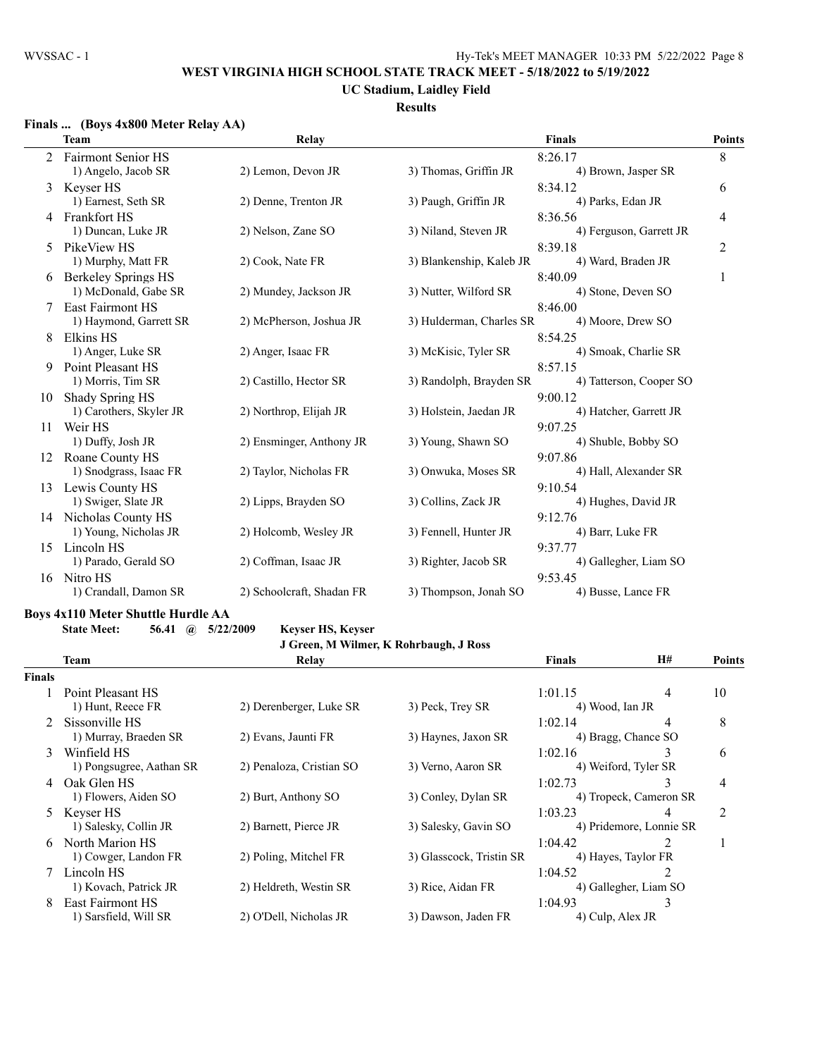## **UC Stadium, Laidley Field**

### **Results**

#### **Finals ... (Boys 4x800 Meter Relay AA)**

|    | <b>Team</b>                | Relay                     |                          | <b>Finals</b>           | <b>Points</b> |
|----|----------------------------|---------------------------|--------------------------|-------------------------|---------------|
|    | <b>Fairmont Senior HS</b>  |                           |                          | 8:26.17                 | 8             |
|    | 1) Angelo, Jacob SR        | 2) Lemon, Devon JR        | 3) Thomas, Griffin JR    | 4) Brown, Jasper SR     |               |
| 3  | Keyser HS                  |                           |                          | 8:34.12                 | 6             |
|    | 1) Earnest, Seth SR        | 2) Denne, Trenton JR      | 3) Paugh, Griffin JR     | 4) Parks, Edan JR       |               |
| 4  | <b>Frankfort HS</b>        |                           |                          | 8:36.56                 | 4             |
|    | 1) Duncan, Luke JR         | 2) Nelson, Zane SO        | 3) Niland, Steven JR     | 4) Ferguson, Garrett JR |               |
| 5  | PikeView HS                |                           |                          | 8:39.18                 | 2             |
|    | 1) Murphy, Matt FR         | 2) Cook, Nate FR          | 3) Blankenship, Kaleb JR | 4) Ward, Braden JR      |               |
| 6  | <b>Berkeley Springs HS</b> |                           |                          | 8:40.09                 | 1             |
|    | 1) McDonald, Gabe SR       | 2) Mundey, Jackson JR     | 3) Nutter, Wilford SR    | 4) Stone, Deven SO      |               |
|    | <b>East Fairmont HS</b>    |                           |                          | 8:46.00                 |               |
|    | 1) Haymond, Garrett SR     | 2) McPherson, Joshua JR   | 3) Hulderman, Charles SR | 4) Moore, Drew SO       |               |
| 8  | Elkins HS                  |                           |                          | 8:54.25                 |               |
|    | 1) Anger, Luke SR          | 2) Anger, Isaac FR        | 3) McKisic, Tyler SR     | 4) Smoak, Charlie SR    |               |
| 9  | Point Pleasant HS          |                           |                          | 8:57.15                 |               |
|    | 1) Morris, Tim SR          | 2) Castillo, Hector SR    | 3) Randolph, Brayden SR  | 4) Tatterson, Cooper SO |               |
| 10 | Shady Spring HS            |                           |                          | 9:00.12                 |               |
|    | 1) Carothers, Skyler JR    | 2) Northrop, Elijah JR    | 3) Holstein, Jaedan JR   | 4) Hatcher, Garrett JR  |               |
| 11 | Weir HS                    |                           |                          | 9:07.25                 |               |
|    | 1) Duffy, Josh JR          | 2) Ensminger, Anthony JR  | 3) Young, Shawn SO       | 4) Shuble, Bobby SO     |               |
| 12 | Roane County HS            |                           |                          | 9:07.86                 |               |
|    | 1) Snodgrass, Isaac FR     | 2) Taylor, Nicholas FR    | 3) Onwuka, Moses SR      | 4) Hall, Alexander SR   |               |
| 13 | Lewis County HS            |                           |                          | 9:10.54                 |               |
|    | 1) Swiger, Slate JR        | 2) Lipps, Brayden SO      | 3) Collins, Zack JR      | 4) Hughes, David JR     |               |
| 14 | Nicholas County HS         |                           |                          | 9:12.76                 |               |
|    | 1) Young, Nicholas JR      | 2) Holcomb, Wesley JR     | 3) Fennell, Hunter JR    | 4) Barr, Luke FR        |               |
| 15 | Lincoln HS                 |                           |                          | 9:37.77                 |               |
|    | 1) Parado, Gerald SO       | 2) Coffman, Isaac JR      | 3) Righter, Jacob SR     | 4) Gallegher, Liam SO   |               |
| 16 | Nitro HS                   |                           |                          | 9:53.45                 |               |
|    | 1) Crandall, Damon SR      | 2) Schoolcraft, Shadan FR | 3) Thompson, Jonah SO    | 4) Busse, Lance FR      |               |

#### **Boys 4x110 Meter Shuttle Hurdle AA**

**State Meet: 56.41 @ 5/22/2009 Keyser HS, Keyser**

**J Green, M Wilmer, K Rohrbaugh, J Ross**

|        | <b>Team</b>                            | Relay                    |                          | <b>Finals</b>              | <b>H#</b>               | <b>Points</b>  |
|--------|----------------------------------------|--------------------------|--------------------------|----------------------------|-------------------------|----------------|
| Finals |                                        |                          |                          |                            |                         |                |
|        | Point Pleasant HS<br>1) Hunt, Reece FR | 2) Derenberger, Luke SR  | 3) Peck, Trey SR         | 1:01.15<br>4) Wood, Ian JR | 4                       | 10             |
|        | Sissonville HS                         |                          |                          | 1:02.14                    | 4                       | 8              |
|        | 1) Murray, Braeden SR                  | 2) Evans, Jaunti FR      | 3) Haynes, Jaxon SR      | 4) Bragg, Chance SO        |                         |                |
| 3      | Winfield HS                            |                          |                          | 1:02.16                    | 3                       | 6              |
|        | 1) Pongsugree, Aathan SR               | 2) Penaloza, Cristian SO | 3) Verno, Aaron SR       |                            | 4) Weiford, Tyler SR    |                |
| 4      | Oak Glen HS                            |                          |                          | 1:02.73                    | 3                       | $\overline{4}$ |
|        | 1) Flowers, Aiden SO                   | 2) Burt, Anthony SO      | 3) Conley, Dylan SR      |                            | 4) Tropeck, Cameron SR  |                |
| 5.     | Keyser HS                              |                          |                          | 1:03.23                    | 4                       | 2              |
|        | 1) Salesky, Collin JR                  | 2) Barnett, Pierce JR    | 3) Salesky, Gavin SO     |                            | 4) Pridemore, Lonnie SR |                |
| 6      | North Marion HS                        |                          |                          | 1:04.42                    |                         |                |
|        | 1) Cowger, Landon FR                   | 2) Poling, Mitchel FR    | 3) Glasscock, Tristin SR |                            | 4) Hayes, Taylor FR     |                |
|        | Lincoln HS                             |                          |                          | 1:04.52                    |                         |                |
|        | 1) Kovach, Patrick JR                  | 2) Heldreth, Westin SR   | 3) Rice, Aidan FR        |                            | 4) Gallegher, Liam SO   |                |
| 8      | East Fairmont HS                       |                          |                          | 1:04.93                    | 3                       |                |
|        | 1) Sarsfield, Will SR                  | 2) O'Dell, Nicholas JR   | 3) Dawson, Jaden FR      | 4) Culp, Alex JR           |                         |                |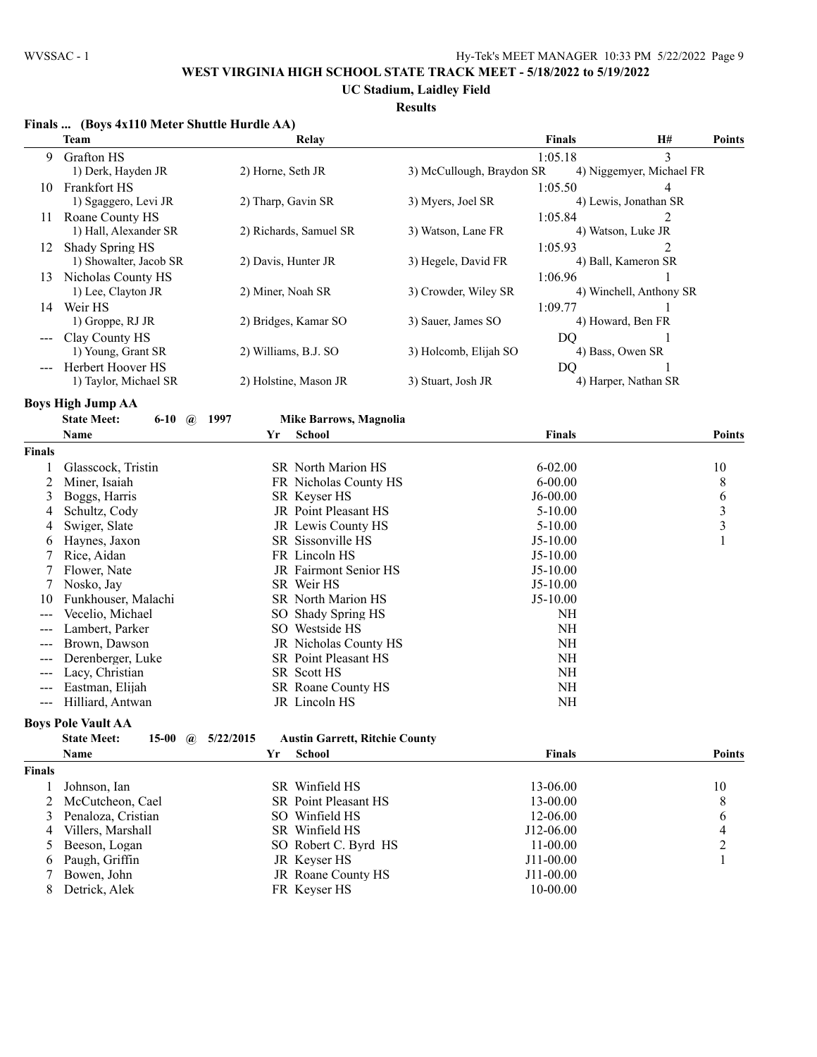#### **UC Stadium, Laidley Field**

#### **Results**

|                     | Finals  (Boys 4x110 Meter Shuttle Hurdle AA)   |                                                    |                           |               |                          |                |
|---------------------|------------------------------------------------|----------------------------------------------------|---------------------------|---------------|--------------------------|----------------|
|                     | <b>Team</b>                                    | Relay                                              |                           | <b>Finals</b> | H#                       | <b>Points</b>  |
| 9                   | <b>Grafton HS</b>                              |                                                    |                           | 1:05.18       | 3                        |                |
|                     | 1) Derk, Hayden JR                             | 2) Horne, Seth JR                                  | 3) McCullough, Braydon SR |               | 4) Niggemyer, Michael FR |                |
| 10                  | Frankfort HS                                   |                                                    |                           | 1:05.50       | 4                        |                |
|                     | 1) Sgaggero, Levi JR                           | 2) Tharp, Gavin SR                                 | 3) Myers, Joel SR         |               | 4) Lewis, Jonathan SR    |                |
| 11                  | Roane County HS                                |                                                    |                           | 1:05.84       | 2                        |                |
|                     | 1) Hall, Alexander SR                          | 2) Richards, Samuel SR                             | 3) Watson, Lane FR        |               | 4) Watson, Luke JR       |                |
| 12                  | Shady Spring HS                                |                                                    |                           | 1:05.93       | 2                        |                |
|                     | 1) Showalter, Jacob SR                         | 2) Davis, Hunter JR                                | 3) Hegele, David FR       |               | 4) Ball, Kameron SR      |                |
|                     | 13 Nicholas County HS                          |                                                    |                           | 1:06.96       |                          |                |
|                     | 1) Lee, Clayton JR                             | 2) Miner, Noah SR                                  | 3) Crowder, Wiley SR      |               | 4) Winchell, Anthony SR  |                |
|                     | 14 Weir HS                                     |                                                    |                           | 1:09.77       |                          |                |
|                     | 1) Groppe, RJ JR                               | 2) Bridges, Kamar SO                               | 3) Sauer, James SO        |               | 4) Howard, Ben FR        |                |
|                     | Clay County HS                                 |                                                    |                           | DQ            | 1                        |                |
|                     | 1) Young, Grant SR                             | 2) Williams, B.J. SO                               | 3) Holcomb, Elijah SO     |               | 4) Bass, Owen SR         |                |
|                     | Herbert Hoover HS                              |                                                    |                           | DQ            |                          |                |
|                     | 1) Taylor, Michael SR                          | 2) Holstine, Mason JR                              | 3) Stuart, Josh JR        |               | 4) Harper, Nathan SR     |                |
|                     |                                                |                                                    |                           |               |                          |                |
|                     | <b>Boys High Jump AA</b>                       |                                                    |                           |               |                          |                |
|                     | <b>State Meet:</b><br>$6 - 10$<br>$\mathbf{a}$ | 1997<br><b>Mike Barrows, Magnolia</b>              |                           |               |                          |                |
|                     | Name                                           | School<br>Yr                                       |                           | <b>Finals</b> |                          | <b>Points</b>  |
| Finals              |                                                |                                                    |                           |               |                          |                |
|                     | Glasscock, Tristin                             | SR North Marion HS                                 |                           | $6 - 02.00$   |                          | 10             |
| 2                   | Miner, Isaiah                                  | FR Nicholas County HS                              |                           | $6 - 00.00$   |                          | 8              |
| 3                   | Boggs, Harris                                  | SR Keyser HS                                       |                           | $J6-00.00$    |                          | 6              |
| 4                   | Schultz, Cody                                  | JR Point Pleasant HS                               |                           | $5 - 10.00$   |                          | $\frac{3}{3}$  |
| 4                   | Swiger, Slate                                  | JR Lewis County HS                                 |                           | $5 - 10.00$   |                          |                |
| 6                   | Haynes, Jaxon                                  | SR Sissonville HS                                  |                           | $J5-10.00$    |                          | $\mathbf{1}$   |
| 7                   | Rice, Aidan                                    | FR Lincoln HS                                      |                           | $J5-10.00$    |                          |                |
| 7                   | Flower, Nate                                   | JR Fairmont Senior HS                              |                           | $J5-10.00$    |                          |                |
| 7                   | Nosko, Jay                                     | SR Weir HS                                         |                           | $J5-10.00$    |                          |                |
| 10                  | Funkhouser, Malachi                            | SR North Marion HS                                 |                           | $J5-10.00$    |                          |                |
|                     | Vecelio, Michael                               | SO Shady Spring HS                                 |                           | <b>NH</b>     |                          |                |
| $---$               | Lambert, Parker                                | SO Westside HS                                     |                           | <b>NH</b>     |                          |                |
|                     | Brown, Dawson                                  | JR Nicholas County HS                              |                           | <b>NH</b>     |                          |                |
|                     | Derenberger, Luke                              | SR Point Pleasant HS                               |                           | <b>NH</b>     |                          |                |
| $---$               | Lacy, Christian                                | SR Scott HS                                        |                           | NH            |                          |                |
|                     | Eastman, Elijah                                | SR Roane County HS                                 |                           | NH            |                          |                |
| $\qquad \qquad - -$ | Hilliard, Antwan                               | JR Lincoln HS                                      |                           | <b>NH</b>     |                          |                |
|                     | <b>Boys Pole Vault AA</b>                      |                                                    |                           |               |                          |                |
|                     | <b>State Meet:</b><br>15-00<br>$\omega$        | 5/22/2015<br><b>Austin Garrett, Ritchie County</b> |                           |               |                          |                |
|                     | Name                                           | Yr<br><b>School</b>                                |                           | <b>Finals</b> |                          | <b>Points</b>  |
| <b>Finals</b>       |                                                |                                                    |                           |               |                          |                |
| 1                   | Johnson, Ian                                   | SR Winfield HS                                     |                           | 13-06.00      |                          | 10             |
| 2                   | McCutcheon, Cael                               | SR Point Pleasant HS                               |                           | 13-00.00      |                          | 8              |
| 3                   | Penaloza, Cristian                             | SO Winfield HS                                     |                           | 12-06.00      |                          | 6              |
| 4                   | Villers, Marshall                              | SR Winfield HS                                     |                           | J12-06.00     |                          | 4              |
| 5                   | Beeson, Logan                                  | SO Robert C. Byrd HS                               |                           | $11 - 00.00$  |                          | $\overline{c}$ |
| 6                   | Paugh, Griffin                                 | JR Keyser HS                                       |                           | J11-00.00     |                          | 1              |
| 7                   | Bowen, John                                    | JR Roane County HS                                 |                           | J11-00.00     |                          |                |
| 8                   | Detrick, Alek                                  | FR Keyser HS                                       |                           | 10-00.00      |                          |                |
|                     |                                                |                                                    |                           |               |                          |                |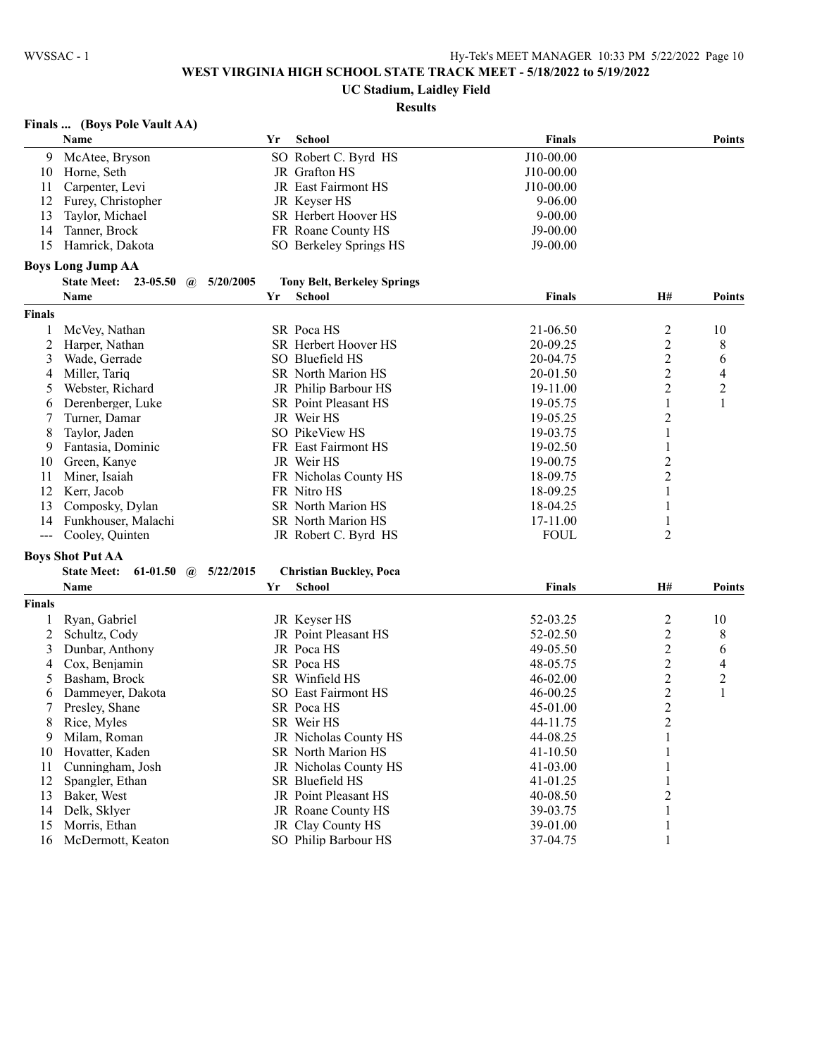## **UC Stadium, Laidley Field**

# **Results**

## **Finals ... (Boys Pole Vault AA)**

|                | Name                                                 | Yr | School                             | <b>Finals</b> |                         | Points         |
|----------------|------------------------------------------------------|----|------------------------------------|---------------|-------------------------|----------------|
| 9              | McAtee, Bryson                                       |    | SO Robert C. Byrd HS               | J10-00.00     |                         |                |
| 10             | Horne, Seth                                          |    | JR Grafton HS                      | J10-00.00     |                         |                |
| 11             | Carpenter, Levi                                      |    | JR East Fairmont HS                | J10-00.00     |                         |                |
| 12             | Furey, Christopher                                   |    | JR Keyser HS                       | $9 - 06.00$   |                         |                |
| 13             | Taylor, Michael                                      |    | SR Herbert Hoover HS               | $9 - 00.00$   |                         |                |
| 14             | Tanner, Brock                                        |    | FR Roane County HS                 | $J9-00.00$    |                         |                |
| 15             | Hamrick, Dakota                                      |    | SO Berkeley Springs HS             | $J9-00.00$    |                         |                |
|                | <b>Boys Long Jump AA</b>                             |    |                                    |               |                         |                |
|                | <b>State Meet:</b> 23-05.50 @<br>5/20/2005           |    | <b>Tony Belt, Berkeley Springs</b> |               |                         |                |
|                | Name                                                 | Yr | <b>School</b>                      | <b>Finals</b> | H#                      | Points         |
| <b>Finals</b>  |                                                      |    |                                    |               |                         |                |
| 1              | McVey, Nathan                                        |    | SR Poca HS                         | 21-06.50      | 2                       | 10             |
| $\overline{2}$ | Harper, Nathan                                       |    | SR Herbert Hoover HS               | 20-09.25      | $\overline{\mathbf{c}}$ | 8              |
| 3              | Wade, Gerrade                                        |    | SO Bluefield HS                    | 20-04.75      | $\overline{2}$          | 6              |
| 4              | Miller, Tariq                                        |    | <b>SR</b> North Marion HS          | 20-01.50      | 2                       | 4              |
| 5              | Webster, Richard                                     |    | JR Philip Barbour HS               | 19-11.00      | 2                       | $\overline{c}$ |
| 6              | Derenberger, Luke                                    |    | SR Point Pleasant HS               | 19-05.75      | 1                       | $\mathbf{1}$   |
| 7              | Turner, Damar                                        |    | JR Weir HS                         | 19-05.25      | 2                       |                |
| 8              | Taylor, Jaden                                        |    | SO PikeView HS                     | 19-03.75      | 1                       |                |
| 9              | Fantasia, Dominic                                    |    | FR East Fairmont HS                | 19-02.50      | 1                       |                |
| 10             | Green, Kanye                                         |    | JR Weir HS                         | 19-00.75      | 2                       |                |
| 11             | Miner, Isaiah                                        |    | FR Nicholas County HS              | 18-09.75      | 2                       |                |
| 12             | Kerr, Jacob                                          |    | FR Nitro HS                        | 18-09.25      | 1                       |                |
|                |                                                      |    |                                    |               |                         |                |
| 13<br>14       | Composky, Dylan                                      |    | SR North Marion HS                 | 18-04.25      | 1                       |                |
|                | Funkhouser, Malachi                                  |    | SR North Marion HS                 | 17-11.00      | 1<br>2                  |                |
| $\frac{1}{2}$  | Cooley, Quinten                                      |    | JR Robert C. Byrd HS               | <b>FOUL</b>   |                         |                |
|                | <b>Boys Shot Put AA</b>                              |    |                                    |               |                         |                |
|                | <b>State Meet:</b><br>61-01.50 $\omega$<br>5/22/2015 |    | <b>Christian Buckley, Poca</b>     |               |                         |                |
|                | Name                                                 | Yr | School                             | <b>Finals</b> | H#                      | <b>Points</b>  |
| <b>Finals</b>  |                                                      |    |                                    |               |                         |                |
| 1              | Ryan, Gabriel                                        |    | JR Keyser HS                       | 52-03.25      | $\overline{c}$          | 10             |
| 2              | Schultz, Cody                                        |    | JR Point Pleasant HS               | 52-02.50      | $\overline{c}$          | 8              |
| 3              | Dunbar, Anthony                                      |    | JR Poca HS                         | 49-05.50      | $\overline{c}$          | 6              |
| 4              | Cox, Benjamin                                        |    | SR Poca HS                         | 48-05.75      | $\overline{c}$          | 4              |
| 5              | Basham, Brock                                        |    | SR Winfield HS                     | 46-02.00      | $\overline{c}$          | $\overline{c}$ |
| 6              | Dammeyer, Dakota                                     |    | SO East Fairmont HS                | 46-00.25      | $\overline{c}$          | 1              |
| 7              | Presley, Shane                                       |    | SR Poca HS                         | 45-01.00      | $\overline{c}$          |                |
| 8              | Rice, Myles                                          |    | SR Weir HS                         | 44-11.75      | $\overline{2}$          |                |
| 9              | Milam, Roman                                         |    | JR Nicholas County HS              | 44-08.25      | $\mathbf{1}$            |                |
| 10             | Hovatter, Kaden                                      |    | SR North Marion HS                 | 41-10.50      | 1                       |                |
| 11             | Cunningham, Josh                                     |    | JR Nicholas County HS              | 41-03.00      | 1                       |                |
| 12             | Spangler, Ethan                                      |    | SR Bluefield HS                    | 41-01.25      | 1                       |                |
| 13             | Baker, West                                          |    | JR Point Pleasant HS               | 40-08.50      | $\overline{c}$          |                |
| 14             | Delk, Sklyer                                         |    | JR Roane County HS                 | 39-03.75      | $\mathbf{1}$            |                |
| 15             | Morris, Ethan                                        |    | JR Clay County HS                  | 39-01.00      | 1                       |                |
| 16             | McDermott, Keaton                                    |    | SO Philip Barbour HS               | 37-04.75      | 1                       |                |